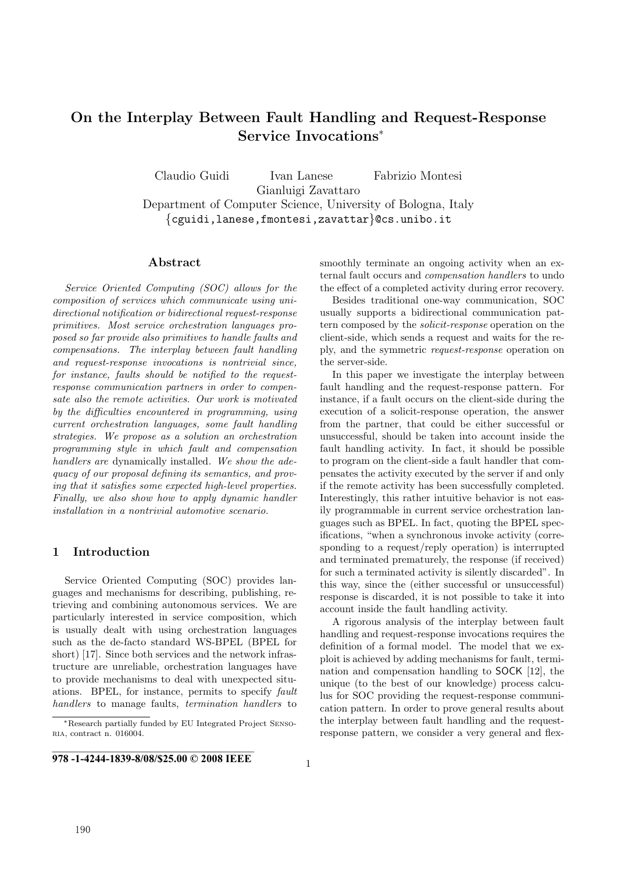# **On the Interplay Between Fault Handling and Request-Response Service Invocations**<sup>∗</sup>

Claudio Guidi Ivan Lanese Fabrizio Montesi Gianluigi Zavattaro Department of Computer Science, University of Bologna, Italy {cguidi,lanese,fmontesi,zavattar}@cs.unibo.it

# **Abstract**

Service Oriented Computing (SOC) allows for the composition of services which communicate using unidirectional notification or bidirectional request-response primitives. Most service orchestration languages proposed so far provide also primitives to handle faults and compensations. The interplay between fault handling and request-response invocations is nontrivial since, for instance, faults should be notified to the requestresponse communication partners in order to compensate also the remote activities. Our work is motivated by the difficulties encountered in programming, using current orchestration languages, some fault handling strategies. We propose as a solution an orchestration programming style in which fault and compensation handlers are dynamically installed. We show the adequacy of our proposal defining its semantics, and proving that it satisfies some expected high-level properties. Finally, we also show how to apply dynamic handler installation in a nontrivial automotive scenario.

# **1 Introduction**

Service Oriented Computing (SOC) provides languages and mechanisms for describing, publishing, retrieving and combining autonomous services. We are particularly interested in service composition, which is usually dealt with using orchestration languages such as the de-facto standard WS-BPEL (BPEL for short) [17]. Since both services and the network infrastructure are unreliable, orchestration languages have to provide mechanisms to deal with unexpected situations. BPEL, for instance, permits to specify fault handlers to manage faults, termination handlers to smoothly terminate an ongoing activity when an external fault occurs and compensation handlers to undo the effect of a completed activity during error recovery.

Besides traditional one-way communication, SOC usually supports a bidirectional communication pattern composed by the solicit-response operation on the client-side, which sends a request and waits for the reply, and the symmetric request-response operation on the server-side.

In this paper we investigate the interplay between fault handling and the request-response pattern. For instance, if a fault occurs on the client-side during the execution of a solicit-response operation, the answer from the partner, that could be either successful or unsuccessful, should be taken into account inside the fault handling activity. In fact, it should be possible to program on the client-side a fault handler that compensates the activity executed by the server if and only if the remote activity has been successfully completed. Interestingly, this rather intuitive behavior is not easily programmable in current service orchestration languages such as BPEL. In fact, quoting the BPEL specifications, "when a synchronous invoke activity (corresponding to a request/reply operation) is interrupted and terminated prematurely, the response (if received) for such a terminated activity is silently discarded". In this way, since the (either successful or unsuccessful) response is discarded, it is not possible to take it into account inside the fault handling activity.

A rigorous analysis of the interplay between fault handling and request-response invocations requires the definition of a formal model. The model that we exploit is achieved by adding mechanisms for fault, termination and compensation handling to SOCK [12], the unique (to the best of our knowledge) process calculus for SOC providing the request-response communication pattern. In order to prove general results about the interplay between fault handling and the requestresponse pattern, we consider a very general and flex-

<sup>∗</sup>Research partially funded by EU Integrated Project Sensoria, contract n. 016004.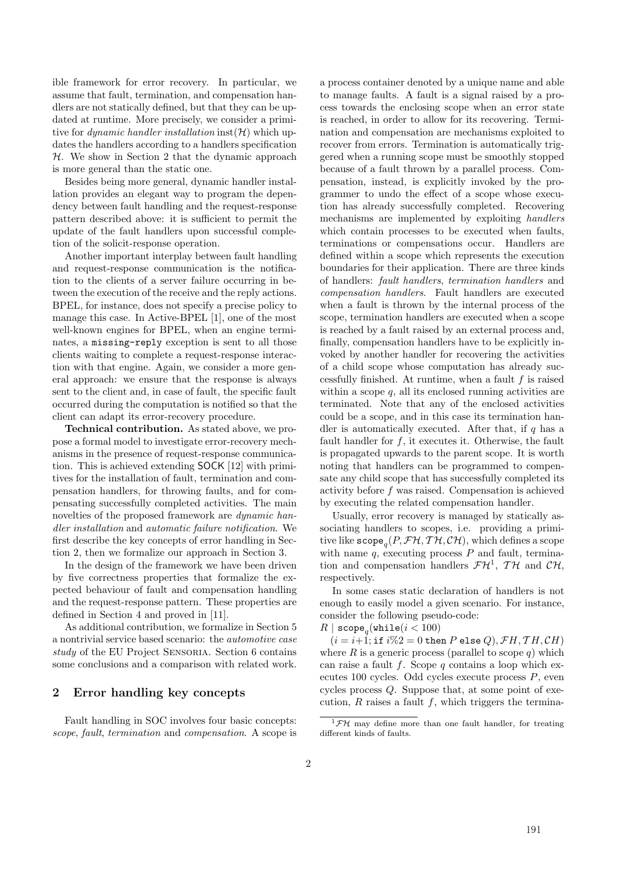ible framework for error recovery. In particular, we assume that fault, termination, and compensation handlers are not statically defined, but that they can be updated at runtime. More precisely, we consider a primitive for *dynamic handler installation* inst( $H$ ) which updates the handlers according to a handlers specification  $H$ . We show in Section 2 that the dynamic approach is more general than the static one.

Besides being more general, dynamic handler installation provides an elegant way to program the dependency between fault handling and the request-response pattern described above: it is sufficient to permit the update of the fault handlers upon successful completion of the solicit-response operation.

Another important interplay between fault handling and request-response communication is the notification to the clients of a server failure occurring in between the execution of the receive and the reply actions. BPEL, for instance, does not specify a precise policy to manage this case. In Active-BPEL [1], one of the most well-known engines for BPEL, when an engine terminates, a missing-reply exception is sent to all those clients waiting to complete a request-response interaction with that engine. Again, we consider a more general approach: we ensure that the response is always sent to the client and, in case of fault, the specific fault occurred during the computation is notified so that the client can adapt its error-recovery procedure.

**Technical contribution.** As stated above, we propose a formal model to investigate error-recovery mechanisms in the presence of request-response communication. This is achieved extending SOCK [12] with primitives for the installation of fault, termination and compensation handlers, for throwing faults, and for compensating successfully completed activities. The main novelties of the proposed framework are dynamic handler installation and automatic failure notification. We first describe the key concepts of error handling in Section 2, then we formalize our approach in Section 3.

In the design of the framework we have been driven by five correctness properties that formalize the expected behaviour of fault and compensation handling and the request-response pattern. These properties are defined in Section 4 and proved in [11].

As additional contribution, we formalize in Section 5 a nontrivial service based scenario: the automotive case study of the EU Project SENSORIA. Section 6 contains some conclusions and a comparison with related work.

# **2 Error handling key concepts**

Fault handling in SOC involves four basic concepts: scope, fault, termination and compensation. A scope is a process container denoted by a unique name and able to manage faults. A fault is a signal raised by a process towards the enclosing scope when an error state is reached, in order to allow for its recovering. Termination and compensation are mechanisms exploited to recover from errors. Termination is automatically triggered when a running scope must be smoothly stopped because of a fault thrown by a parallel process. Compensation, instead, is explicitly invoked by the programmer to undo the effect of a scope whose execution has already successfully completed. Recovering mechanisms are implemented by exploiting handlers which contain processes to be executed when faults, terminations or compensations occur. Handlers are defined within a scope which represents the execution boundaries for their application. There are three kinds of handlers: fault handlers, termination handlers and compensation handlers. Fault handlers are executed when a fault is thrown by the internal process of the scope, termination handlers are executed when a scope is reached by a fault raised by an external process and, finally, compensation handlers have to be explicitly invoked by another handler for recovering the activities of a child scope whose computation has already successfully finished. At runtime, when a fault  $f$  is raised within a scope  $q$ , all its enclosed running activities are terminated. Note that any of the enclosed activities could be a scope, and in this case its termination handler is automatically executed. After that, if  $q$  has a fault handler for  $f$ , it executes it. Otherwise, the fault is propagated upwards to the parent scope. It is worth noting that handlers can be programmed to compensate any child scope that has successfully completed its activity before f was raised. Compensation is achieved by executing the related compensation handler.

Usually, error recovery is managed by statically associating handlers to scopes, i.e. providing a primitive like  $\mathsf{scope}_{\alpha}(P, \mathcal{FH}, \mathcal{TH}, \mathcal{CH})$ , which defines a scope with name  $q$ , executing process  $P$  and fault, termination and compensation handlers  $\mathcal{FH}^1$ ,  $\mathcal{TH}$  and  $\mathcal{CH}$ , respectively.

In some cases static declaration of handlers is not enough to easily model a given scenario. For instance, consider the following pseudo-code:

$$
R \mid \texttt{scope}_q(\texttt{while}(i < 100))
$$
\n
$$
(i - i + 1 : \texttt{if } i\%2 = 0 \texttt{the})
$$

 $(i = i+1; \text{ if } i\%2 = 0 \text{ then } P \text{ else } Q), \mathcal{F}H, \mathcal{T}H, \mathcal{CH})$ where  $R$  is a generic process (parallel to scope  $q$ ) which can raise a fault f. Scope q contains a loop which executes 100 cycles. Odd cycles execute process P, even cycles process Q. Suppose that, at some point of execution,  $R$  raises a fault  $f$ , which triggers the termina-

 ${}^{1}$ *FH* may define more than one fault handler, for treating different kinds of faults.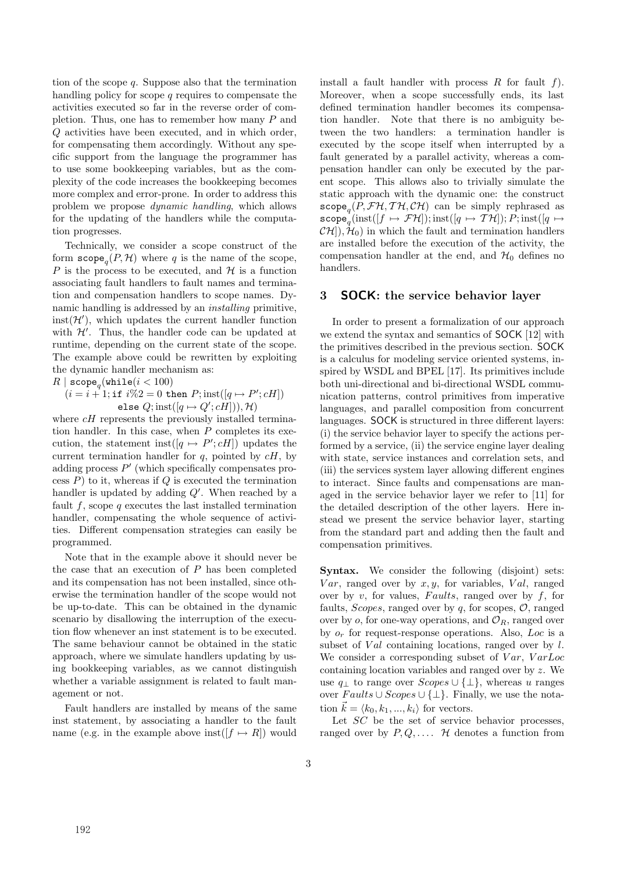tion of the scope  $q$ . Suppose also that the termination handling policy for scope  $q$  requires to compensate the activities executed so far in the reverse order of completion. Thus, one has to remember how many P and Q activities have been executed, and in which order, for compensating them accordingly. Without any specific support from the language the programmer has to use some bookkeeping variables, but as the complexity of the code increases the bookkeeping becomes more complex and error-prone. In order to address this problem we propose dynamic handling, which allows for the updating of the handlers while the computation progresses.

Technically, we consider a scope construct of the form  $\mathsf{scope}_n(P, \mathcal{H})$  where q is the name of the scope, P is the process to be executed, and  $\mathcal H$  is a function associating fault handlers to fault names and termination and compensation handlers to scope names. Dynamic handling is addressed by an installing primitive,  $\text{inst}(\mathcal{H}')$ , which updates the current handler function with  $\mathcal{H}'$ . Thus, the handler code can be updated at runtime, depending on the current state of the scope. The example above could be rewritten by exploiting the dynamic handler mechanism as:

$$
\begin{array}{c} R \mid \texttt{scope}_q(\texttt{while}(i<100)\\ (i=i+1;\texttt{if }i\%2=0\texttt{ then }P; \texttt{inst}([q \mapsto P';cH])\\ \texttt{else }Q; \texttt{inst}([q \mapsto Q';cH]), \mathcal{H}) \end{array}
$$

else  $Q$ ; inst $([q \mapsto Q'; cH]), \mathcal{H}$ <br>where  $cH$  represents the previously installed termination handler. In this case, when  $P$  completes its execution, the statement inst $([q \mapsto P'; cH])$  updates the current termination handler for  $q$ , pointed by  $cH$ , by adding process  $P'$  (which specifically compensates process  $P$ ) to it, whereas if  $Q$  is executed the termination handler is updated by adding  $Q'$ . When reached by a fault f, scope q executes the last installed termination handler, compensating the whole sequence of activities. Different compensation strategies can easily be programmed.

Note that in the example above it should never be the case that an execution of  $P$  has been completed and its compensation has not been installed, since otherwise the termination handler of the scope would not be up-to-date. This can be obtained in the dynamic scenario by disallowing the interruption of the execution flow whenever an inst statement is to be executed. The same behaviour cannot be obtained in the static approach, where we simulate handlers updating by using bookkeeping variables, as we cannot distinguish whether a variable assignment is related to fault management or not.

Fault handlers are installed by means of the same inst statement, by associating a handler to the fault name (e.g. in the example above inst( $[f \mapsto R]$ ) would install a fault handler with process  $R$  for fault  $f$ ). Moreover, when a scope successfully ends, its last defined termination handler becomes its compensation handler. Note that there is no ambiguity between the two handlers: a termination handler is executed by the scope itself when interrupted by a fault generated by a parallel activity, whereas a compensation handler can only be executed by the parent scope. This allows also to trivially simulate the static approach with the dynamic one: the construct  $\mathsf{scope}_{a}(P, \mathcal{FH}, \mathcal{TH}, \mathcal{CH})$  can be simply rephrased as  $\mathsf{scope}_q^{\hat{}}(\text{inst}([f \mapsto \mathcal{FH}]); \text{inst}([q \mapsto \mathcal{TH}]); P; \text{inst}([q \mapsto$  $(\mathcal{CH})$ ,  $\mathcal{H}_0$  in which the fault and termination handlers are installed before the execution of the activity, the compensation handler at the end, and  $\mathcal{H}_0$  defines no handlers.

# **3 SOCK: the service behavior layer**

In order to present a formalization of our approach we extend the syntax and semantics of SOCK [12] with the primitives described in the previous section. SOCK is a calculus for modeling service oriented systems, inspired by WSDL and BPEL [17]. Its primitives include both uni-directional and bi-directional WSDL communication patterns, control primitives from imperative languages, and parallel composition from concurrent languages. SOCK is structured in three different layers: (i) the service behavior layer to specify the actions performed by a service, (ii) the service engine layer dealing with state, service instances and correlation sets, and (iii) the services system layer allowing different engines to interact. Since faults and compensations are managed in the service behavior layer we refer to [11] for the detailed description of the other layers. Here instead we present the service behavior layer, starting from the standard part and adding then the fault and compensation primitives.

Syntax. We consider the following (disjoint) sets:  $Var$ , ranged over by  $x, y$ , for variables,  $Val$ , ranged over by v, for values, Faults, ranged over by f, for faults, *Scopes*, ranged over by  $q$ , for scopes,  $\mathcal{O}$ , ranged over by o, for one-way operations, and  $\mathcal{O}_R$ , ranged over by  $o_r$  for request-response operations. Also, Loc is a subset of  $Val$  containing locations, ranged over by l. We consider a corresponding subset of  $Var$ ,  $VarLoc$ containing location variables and ranged over by z. We use  $q_{\perp}$  to range over  $Scopes \cup {\perp}$ , whereas u ranges over  $Faults \cup Scopes \cup {\perp}.$  Finally, we use the notation  $\vec{k} = \langle k_0, k_1, ..., k_i \rangle$  for vectors.

Let  $SC$  be the set of service behavior processes. ranged over by  $P, Q, \ldots$  H denotes a function from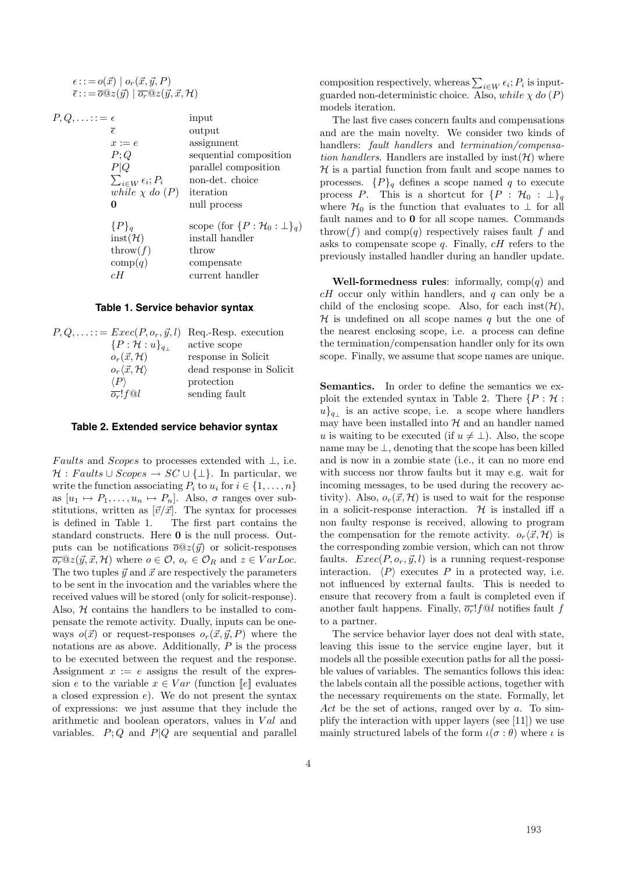$\epsilon ::= o(\vec{x}) \mid o_r(\vec{x}, \vec{y}, P)$  $\overline{\epsilon} \, \text{:} := \overline{\omicron} @z(\vec{y}) \mid \overline{\omicron_r} @z(\vec{y}, \vec{x}, \mathcal{H})$ 

 $P, Q, \ldots := \epsilon$  input

| $\bar{\epsilon}$              | output                                        |
|-------------------------------|-----------------------------------------------|
| $x := e$                      | assignment                                    |
| P;Q                           | sequential composition                        |
| P Q                           | parallel composition                          |
| $\sum_{i\in W}\epsilon_i;P_i$ | non-det. choice                               |
| while $\chi$ do $(P)$         | iteration                                     |
|                               | null process                                  |
| $\{P\}_q$                     | scope (for $\{P : \mathcal{H}_0 : \bot\}_q$ ) |
| $inst(\mathcal{H})$           | install handler                               |
| $\text{throw}(f)$             | throw                                         |
| comp(q)                       | compensate                                    |
| cН                            | current handler                               |
|                               |                                               |

#### **Table 1. Service behavior syntax**

| $P,Q,\ldots :=Exec(P,o_r,\vec{y},l)$   | Req.-Resp. execution     |
|----------------------------------------|--------------------------|
| $\{P:\mathcal{H}:u\}_{q+}$             | active scope             |
| $o_r(\vec{x},\mathcal{H})$             | response in Solicit      |
| $o_r\langle\vec{x},\mathcal{H}\rangle$ | dead response in Solicit |
| $\langle P \rangle$                    | protection               |
| $\overline{o_r}$ ! f $\odot l$         | sending fault            |
|                                        |                          |

#### **Table 2. Extended service behavior syntax**

Faults and Scopes to processes extended with  $\bot$ , i.e.  $\mathcal{H}: \text{Faults} \cup \text{Scopes} \rightarrow \text{SC} \cup \{\perp\}.$  In particular, we write the function associating  $P_i$  to  $u_i$  for  $i \in \{1, \ldots, n\}$ as  $[u_1 \mapsto P_1, \ldots, u_n \mapsto P_n]$ . Also,  $\sigma$  ranges over substitutions, written as  $[\vec{v}/\vec{x}]$ . The syntax for processes is defined in Table 1. The first part contains the standard constructs. Here **0** is the null process. Outputs can be notifications  $\overline{\partial} \mathbb{Q} z(\vec{y})$  or solicit-responses  $\overline{o_r}$  $\mathbb{Q}z(\vec{y}, \vec{x}, \mathcal{H})$  where  $o \in \mathcal{O}$ ,  $o_r \in \mathcal{O}_R$  and  $z \in VarLoc$ . The two tuples  $\vec{y}$  and  $\vec{x}$  are respectively the parameters to be sent in the invocation and the variables where the received values will be stored (only for solicit-response). Also,  $H$  contains the handlers to be installed to compensate the remote activity. Dually, inputs can be oneways  $o(\vec{x})$  or request-responses  $o_r(\vec{x}, \vec{y}, P)$  where the notations are as above. Additionally,  $P$  is the process to be executed between the request and the response. Assignment  $x := e$  assigns the result of the expression e to the variable  $x \in Var$  (function  $\llbracket e \rrbracket$  evaluates a closed expression  $e$ ). We do not present the syntax of expressions: we just assume that they include the arithmetic and boolean operators, values in  $Val$  and variables.  $P; Q$  and  $P|Q$  are sequential and parallel

composition respectively, whereas  $\sum_{i\in W} \epsilon_i$ ;  $P_i$  is inputguarded non-deterministic choice. Also, while  $\chi$  do  $(P)$ models iteration.

The last five cases concern faults and compensations and are the main novelty. We consider two kinds of handlers: fault handlers and termination/compensation handlers. Handlers are installed by  $\text{inst}(\mathcal{H})$  where  $H$  is a partial function from fault and scope names to processes.  $\{P\}_q$  defines a scope named q to execute process P. This is a shortcut for  $\{P : \mathcal{H}_0 : \perp\}_q$ where  $\mathcal{H}_0$  is the function that evaluates to  $\perp$  for all fault names and to **0** for all scope names. Commands throw(f) and comp(q) respectively raises fault f and asks to compensate scope  $q$ . Finally,  $cH$  refers to the previously installed handler during an handler update.

**Well-formedness rules**: informally,  $comp(q)$  and  $cH$  occur only within handlers, and q can only be a child of the enclosing scope. Also, for each inst( $\mathcal{H}$ ),  $\mathcal H$  is undefined on all scope names q but the one of the nearest enclosing scope, i.e. a process can define the termination/compensation handler only for its own scope. Finally, we assume that scope names are unique.

Semantics. In order to define the semantics we exploit the extended syntax in Table 2. There  $\{P : \mathcal{H}$ :  $u\}_{q\perp}$  is an active scope, i.e. a scope where handlers may have been installed into  $H$  and an handler named u is waiting to be executed (if  $u \neq \bot$ ). Also, the scope name may be  $\perp$ , denoting that the scope has been killed and is now in a zombie state (i.e., it can no more end with success nor throw faults but it may e.g. wait for incoming messages, to be used during the recovery activity). Also,  $o_r(\vec{x}, \mathcal{H})$  is used to wait for the response in a solicit-response interaction.  $\mathcal H$  is installed iff a non faulty response is received, allowing to program the compensation for the remote activity.  $o_r\langle \vec{x}, \mathcal{H} \rangle$  is the corresponding zombie version, which can not throw faults.  $Exec(P, o_r, \vec{y}, l)$  is a running request-response interaction.  $\langle P \rangle$  executes P in a protected way, i.e. not influenced by external faults. This is needed to ensure that recovery from a fault is completed even if another fault happens. Finally,  $\overline{\sigma_r}$ ! f@l notifies fault f to a partner.

The service behavior layer does not deal with state, leaving this issue to the service engine layer, but it models all the possible execution paths for all the possible values of variables. The semantics follows this idea: the labels contain all the possible actions, together with the necessary requirements on the state. Formally, let Act be the set of actions, ranged over by  $a$ . To simplify the interaction with upper layers (see [11]) we use mainly structured labels of the form  $\iota(\sigma : \theta)$  where  $\iota$  is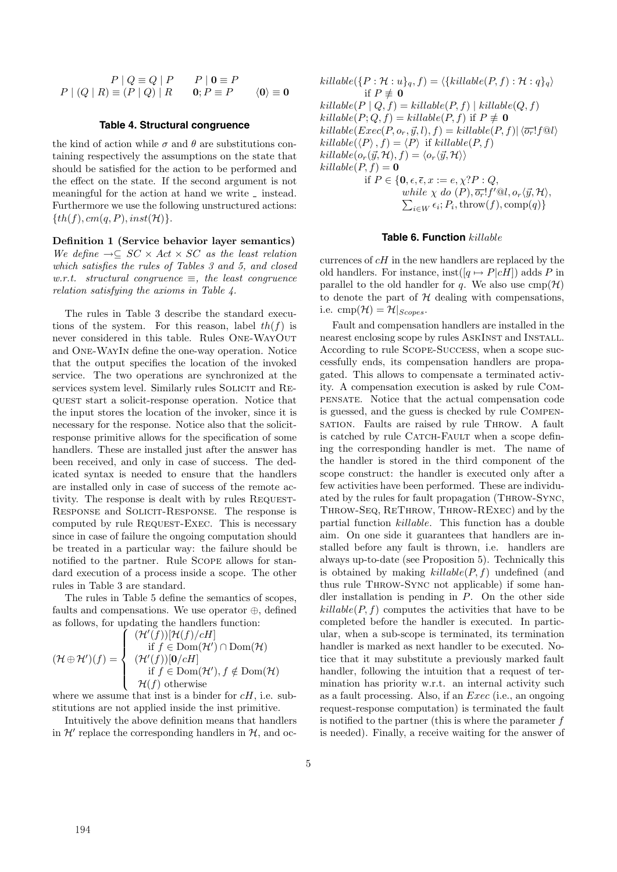$$
P | Q \equiv Q | P \qquad P | 0 \equiv P
$$
  

$$
P | (Q | R) \equiv (P | Q) | R \qquad 0; P \equiv P \qquad \langle 0 \rangle \equiv 0
$$

#### **Table 4. Structural congruence**

the kind of action while  $\sigma$  and  $\theta$  are substitutions containing respectively the assumptions on the state that should be satisfied for the action to be performed and the effect on the state. If the second argument is not meaningful for the action at hand we write  $\lrcorner$  instead. Furthermore we use the following unstructured actions:  ${th(f), cm(q, P), inst(\mathcal{H})}.$ 

**Definition 1 (Service behavior layer semantics)** We define  $\rightarrow \subseteq SC \times Act \times SC$  as the least relation which satisfies the rules of Tables 3 and 5, and closed w.r.t. structural congruence  $\equiv$ , the least congruence relation satisfying the axioms in Table 4.

The rules in Table 3 describe the standard executions of the system. For this reason, label  $th(f)$  is never considered in this table. Rules One-WayOut and One-WayIn define the one-way operation. Notice that the output specifies the location of the invoked service. The two operations are synchronized at the services system level. Similarly rules SOLICIT and REquest start a solicit-response operation. Notice that the input stores the location of the invoker, since it is necessary for the response. Notice also that the solicitresponse primitive allows for the specification of some handlers. These are installed just after the answer has been received, and only in case of success. The dedicated syntax is needed to ensure that the handlers are installed only in case of success of the remote activity. The response is dealt with by rules Request-Response and Solicit-Response. The response is computed by rule REQUEST-EXEC. This is necessary since in case of failure the ongoing computation should be treated in a particular way: the failure should be notified to the partner. Rule Scope allows for standard execution of a process inside a scope. The other rules in Table 3 are standard.

The rules in Table 5 define the semantics of scopes, faults and compensations. We use operator ⊕, defined as follows, for updating the handlers function:

$$
(\mathcal{H} \oplus \mathcal{H}')(f) = \left\{ \begin{array}{l} (\mathcal{H}'(f))[ \mathcal{H}(f)/cH] \\ \text{if } f \in \text{Dom}(\mathcal{H}') \cap \text{Dom}(\mathcal{H}) \\ (\mathcal{H}'(f))[ \mathbf{0}/cH] \\ \text{if } f \in \text{Dom}(\mathcal{H}'), f \notin \text{Dom}(\mathcal{H}) \\ \mathcal{H}(f) \text{ otherwise} \end{array} \right.
$$

where we assume that inst is a binder for  $cH$ , i.e. substitutions are not applied inside the inst primitive.

Intuitively the above definition means that handlers in  $\mathcal{H}'$  replace the corresponding handlers in  $\mathcal{H}$ , and oc $killable({P : \mathcal{H} : u}_q, f) = \langle \{killable(P, f) : \mathcal{H} : q \}_q \rangle$ if  $P \not\equiv 0$  $killable(P \mid Q, f) = killable(P, f) \mid killable(Q, f)$  $killable(P; Q, f) = killable(P, f)$  if  $P \neq 0$  $killable(Exec(P, o_r, \vec{y}, l), f) = killable(P, f)| \langle \overline{o_r}!f@l \rangle$  $killable(\langle P \rangle, f) = \langle P \rangle$  if  $killable(P, f)$  $killable(o_r(\vec{y}, \mathcal{H}), f) = \langle o_r \langle \vec{y}, \mathcal{H} \rangle \rangle$  $killable(P, f) = 0$ if  $P \in \{0, \epsilon, \overline{\epsilon}, x := \epsilon, \chi?P : Q,$ while  $\chi$  do  $(P), \overline{o_r}!f' \mathbb{Q}l, o_r \langle \vec{y}, \mathcal{H} \rangle$ ,  $\sum_{i\in W} \epsilon_i$ ;  $P_i$ , throw $(f)$ , comp $(q)$ }

#### **Table 6. Function** killable

currences of  $cH$  in the new handlers are replaced by the old handlers. For instance, inst $([q \mapsto P]cH]$  adds P in parallel to the old handler for q. We also use  $\text{cmp}(\mathcal{H})$ to denote the part of  $H$  dealing with compensations, i.e.  $\text{cmp}(\mathcal{H}) = \mathcal{H}|_{Scopes}.$ 

Fault and compensation handlers are installed in the nearest enclosing scope by rules ASKINST and INSTALL. According to rule Scope-Success, when a scope successfully ends, its compensation handlers are propagated. This allows to compensate a terminated activity. A compensation execution is asked by rule Compensate. Notice that the actual compensation code is guessed, and the guess is checked by rule Compensation. Faults are raised by rule Throw. A fault is catched by rule CATCH-FAULT when a scope defining the corresponding handler is met. The name of the handler is stored in the third component of the scope construct: the handler is executed only after a few activities have been performed. These are individuated by the rules for fault propagation (Throw-Sync, Throw-Seq, ReThrow, Throw-RExec) and by the partial function killable. This function has a double aim. On one side it guarantees that handlers are installed before any fault is thrown, i.e. handlers are always up-to-date (see Proposition 5). Technically this is obtained by making  $killable(P, f)$  undefined (and thus rule Throw-Sync not applicable) if some handler installation is pending in  $P$ . On the other side  $killable(P, f)$  computes the activities that have to be completed before the handler is executed. In particular, when a sub-scope is terminated, its termination handler is marked as next handler to be executed. Notice that it may substitute a previously marked fault handler, following the intuition that a request of termination has priority w.r.t. an internal activity such as a fault processing. Also, if an Exec (i.e., an ongoing request-response computation) is terminated the fault is notified to the partner (this is where the parameter  $f$ is needed). Finally, a receive waiting for the answer of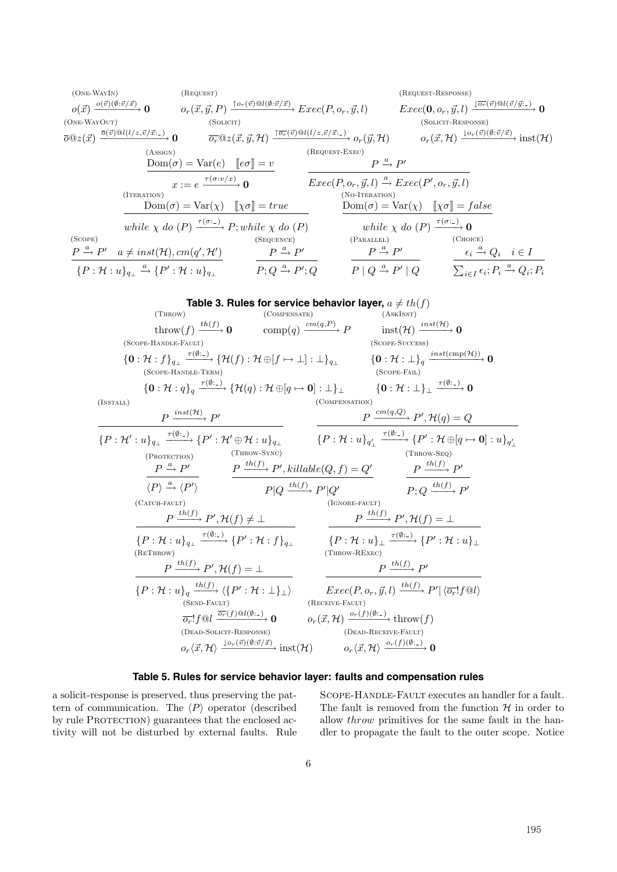(One-WayIn) o(x) <sup>o</sup>(v)(∅:v/<sup>x</sup>) −−−−−−−→ **<sup>0</sup>** (Request) or(x, y, P) <sup>↑</sup>or(v)@l(∅:v/<sup>x</sup>) −−−−−−−−−−→ Exec(P, or, y,l) (Request-Response) Exec(**0**, or, y,l) <sup>↓</sup>or(v)@l(v/<sup>y</sup>: ) −−−−−−−−−−→ **<sup>0</sup>** (One-WayOut) o@z(x) <sup>o</sup>(v)@l(l/z,v/<sup>x</sup>: ) −−−−−−−−−−−→ **<sup>0</sup>** (Solicit) or@z(x, y, <sup>H</sup>) <sup>↑</sup>or(v)@l(l/z,v/<sup>x</sup>: ) −−−−−−−−−−−−→ <sup>o</sup>r(y, H) (Solicit-Response) or(x, <sup>H</sup>) <sup>↓</sup>or(v)(∅:v/<sup>x</sup>) −−−−−−−−→ inst(H) (Assign) Dom(σ) = Var(e) eσ = v <sup>x</sup> := <sup>e</sup> <sup>τ</sup>(σ:v/x) −−−−−→ **<sup>0</sup>** (Request-Exec) P <sup>a</sup> −→ P-Exec(P, or, y,l) <sup>a</sup> −→ Exec(P-, or, y,l) (Iteration) Dom(σ) = Var(χ) χσ = true while χ do (P) <sup>τ</sup>(σ: ) −−−−→ <sup>P</sup>; while χ do (P) (No-Iteration) Dom(σ) = Var(χ) χσ = f alse while χ do (P) <sup>τ</sup>(σ: ) −−−−→ **<sup>0</sup>** (Scope) P <sup>a</sup> −→ P a = inst(H), cm(q-, H-) {P : H : u}<sup>q</sup><sup>⊥</sup> a −→ {P- : H : u}<sup>q</sup><sup>⊥</sup> (Sequence) P <sup>a</sup> −→ P-P; Q <sup>a</sup> −→ P-; Q (Parallel) P <sup>a</sup> → P-<sup>P</sup> <sup>|</sup> <sup>Q</sup> <sup>a</sup> → P- | Q (Choice) i a −→ Q<sup>i</sup> i ∈ I <sup>i</sup>∈<sup>I</sup> i; P<sup>i</sup> a −→ Qi; P<sup>i</sup>

Table 3. Rules for service behavior layer, 
$$
a \neq th(f)
$$
  
\n
$$
\begin{array}{c}\n\text{(Throw)} \\
\text{(COMPESASTE)} \\
\text{(GOPE-HANDE-FUNDLE-FUNDILF-TEND)} \\
\text{(SCOPE-HANDE-FUNDILF-TEND)} \\
\text{(GOPE-HANDE-FUNDILF-TEND)} \\
\text{(GOPE-HANDE-FUNDILF-TEND)} \\
\text{(GOPE-HANDE-FUNDILF-TEND)} \\
\text{(GOPE-HANDE-TEND)} \\
\text{(GOPE-HANDE-TEND)} \\
\text{(GOPE-HANDE-TEND)} \\
\text{(GOPE-FANDL} \\
\text{(GOPE-FANDL)} \\
\text{(GOPE-FANDL} \\
\text{(GOPE-FANDL)} \\
\text{(GOPE-FANDL} \\
\text{(GOPE-FANDL)} \\
\text{(GOPE-FANDL} \\
\text{(GOPE-FANDL)} \\
\text{(GOPE-FANDL}} \\
\text{(GOPE-FANDL)} \\
\text{(GOPE-FANDL}} \\
\text{(GOPE-FANDL)} \\
\text{(GOPE-FANDL}} \\
\text{(GOPE-FANDL)} \\
\text{(GOPE-FANDL}} \\
\text{(GOPE-FANDL)} \\
\text{(GOPE-FANDL}} \\
\text{(GOPE-FANDL}} \\
\text{(GOPE-FANDL)} \\
\text{(GOPE-FANDL}} \\
\text{(GOPE-FANDL}} \\
\text{(GOPE-FANDL}} \\
\text{(GOPE-FANDL}} \\
\text{(GOPE-FANDL}} \\
\text{(GOPE-FANDL}} \\
\text{(GOPE-FANDL}} \\
\text{(GOPE-FANDL}} \\
\text{(GOPE-FANDL}} \\
\text{(GOPE-FANDL}} \\
\text{(GOPE-FANDL}} \\
\text{(GOPE-FANDL}} \\
\text{(GOPE-FANDL}} \\
\text{(GOPE-FANDL}} \\
\text{(GOPE-FANDL}} \\
\text{(GOPE-FANDL}} \\
\text{(GOPE-FANDL}} \\
\text{(GOPE-FANDL}} \\
\text{(GOPE-FANDL}} \\
\text{(GOPE-FANDL}} \\
\text{(GOPE-FANDL}} \\
\text{(GPOE-FND}) \\
\text{(GPOE-FONLOF}} \\
\text{(GPOE-FND}) \\
\text{(GPOE-FONLOF}} \\
\text{(GPOE-FONLOF}) \\
\text{(GPOE-FONLOF}} \\
\text{(GPOE-FONLOF}) \\
\text{(GPOE-FONLOF}} \\
\text{(GPOE-FONLOF}) \\
\text{(GPOE-FONLOF}} \\
\text{(GPOE-FONLOF}) \\
\text{(GPOE-FONLOF}} \\
\text{(G
$$

# **Table 5. Rules for service behavior layer: faults and compensation rules**

a solicit-response is preserved, thus preserving the pattern of communication. The  $\langle P \rangle$  operator (described by rule PROTECTION) guarantees that the enclosed activity will not be disturbed by external faults. Rule Scope-Handle-Fault executes an handler for a fault. The fault is removed from the function  $H$  in order to allow throw primitives for the same fault in the handler to propagate the fault to the outer scope. Notice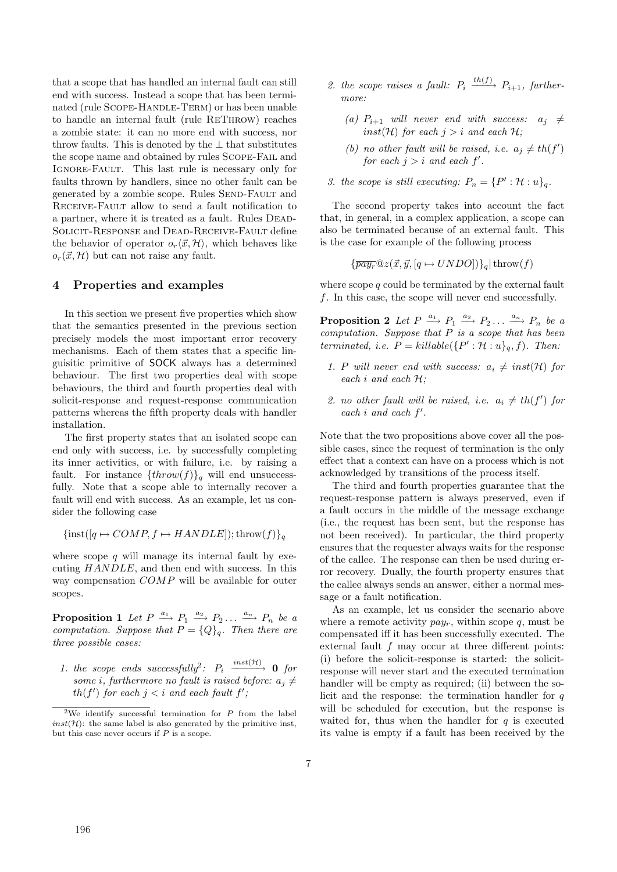that a scope that has handled an internal fault can still end with success. Instead a scope that has been terminated (rule SCOPE-HANDLE-TERM) or has been unable to handle an internal fault (rule ReThrow) reaches a zombie state: it can no more end with success, nor throw faults. This is denoted by the  $\perp$  that substitutes the scope name and obtained by rules Scope-Fail and Ignore-Fault. This last rule is necessary only for faults thrown by handlers, since no other fault can be generated by a zombie scope. Rules SEND-FAULT and Receive-Fault allow to send a fault notification to a partner, where it is treated as a fault. Rules Dead-Solicit-Response and Dead-Receive-Fault define the behavior of operator  $o_r\langle \vec{x}, \mathcal{H} \rangle$ , which behaves like  $o_r(\vec{x}, \mathcal{H})$  but can not raise any fault.

# **4 Properties and examples**

In this section we present five properties which show that the semantics presented in the previous section precisely models the most important error recovery mechanisms. Each of them states that a specific linguisitic primitive of SOCK always has a determined behaviour. The first two properties deal with scope behaviours, the third and fourth properties deal with solicit-response and request-response communication patterns whereas the fifth property deals with handler installation.

The first property states that an isolated scope can end only with success, i.e. by successfully completing its inner activities, or with failure, i.e. by raising a fault. For instance  $\{throw(f)\}\$ <sub>a</sub> will end unsuccessfully. Note that a scope able to internally recover a fault will end with success. As an example, let us consider the following case

$$
\{inst([q \mapsto COMP, f \mapsto HANDLE]); \text{throw}(f)\}_q
$$

where scope  $q$  will manage its internal fault by executing HANDLE, and then end with success. In this way compensation COMP will be available for outer scopes.

**Proposition 1** Let  $P \xrightarrow{a_1} P_1 \xrightarrow{a_2} P_2 \dots \xrightarrow{a_n} P_n$  be a computation. Suppose that  $P = \{Q\}_q$ . Then there are three possible cases:

1. the scope ends successfully<sup>2</sup>:  $P_i \xrightarrow{inst(H)} 0$  for some *i*, furthermore no fault is raised before:  $a_j \neq$  $th(f')$  for each  $j < i$  and each fault f';

- 2. the scope raises a fault:  $P_i \xrightarrow{th(f)} P_{i+1}$ , furthermore:
	- (a)  $P_{i+1}$  will never end with success:  $a_j \neq$ inst(H) for each  $j>i$  and each H;
	- (b) no other fault will be raised, i.e.  $a_j \neq th(f')$ for each  $j > i$  and each  $f'$ .
- 3. the scope is still executing:  $P_n = \{P' : \mathcal{H} : u\}_q$ .

The second property takes into account the fact that, in general, in a complex application, a scope can also be terminated because of an external fault. This is the case for example of the following process

$$
\{\overline{pay_r}@z(\vec{x}, \vec{y}, [q \mapsto UNDO])\}_q | \operatorname{throw}(f)
$$

where scope  $q$  could be terminated by the external fault f. In this case, the scope will never end successfully.

**Proposition 2** Let  $P \xrightarrow{a_1} P_1 \xrightarrow{a_2} P_2 \dots \xrightarrow{a_n} P_n$  be a computation. Suppose that  $P$  is a scope that has been terminated, i.e.  $P = \text{killable}(\{P' : \mathcal{H} : u\}_q, f)$ . Then:

- 1. P will never end with success:  $a_i \neq inst(\mathcal{H})$  for each  $i$  and each  $H$ ;
- 2. no other fault will be raised, i.e.  $a_i \neq th(f')$  for each  $i$  and each  $f'$ .

Note that the two propositions above cover all the possible cases, since the request of termination is the only effect that a context can have on a process which is not acknowledged by transitions of the process itself.

The third and fourth properties guarantee that the request-response pattern is always preserved, even if a fault occurs in the middle of the message exchange (i.e., the request has been sent, but the response has not been received). In particular, the third property ensures that the requester always waits for the response of the callee. The response can then be used during error recovery. Dually, the fourth property ensures that the callee always sends an answer, either a normal message or a fault notification.

As an example, let us consider the scenario above where a remote activity  $pay<sub>r</sub>$ , within scope q, must be compensated iff it has been successfully executed. The external fault  $f$  may occur at three different points: (i) before the solicit-response is started: the solicitresponse will never start and the executed termination handler will be empty as required; (ii) between the solicit and the response: the termination handler for  $q$ will be scheduled for execution, but the response is waited for, thus when the handler for  $q$  is executed its value is empty if a fault has been received by the

<sup>&</sup>lt;sup>2</sup>We identify successful termination for  $P$  from the label  $inst(\mathcal{H})$ : the same label is also generated by the primitive inst, but this case never occurs if  $P$  is a scope.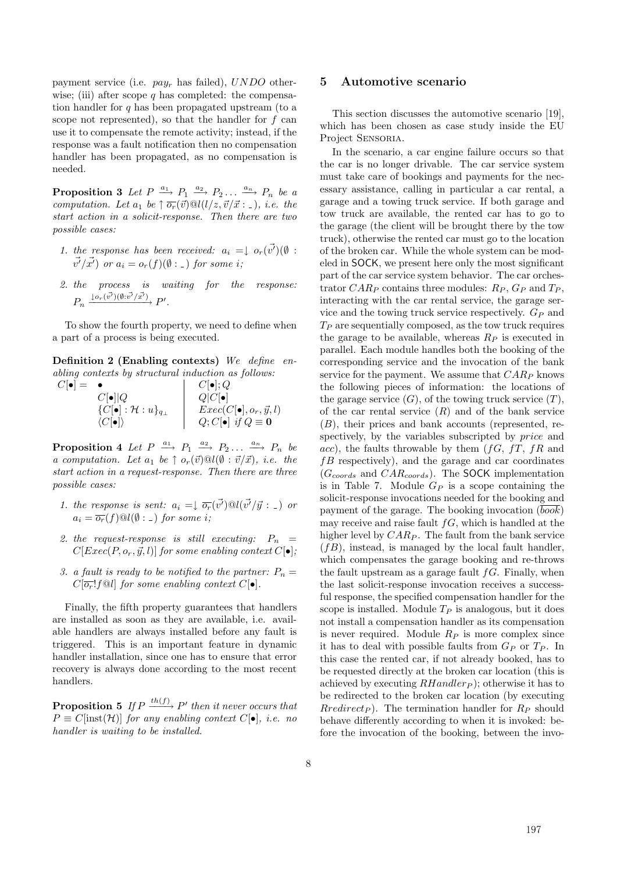payment service (i.e.  $pay<sub>r</sub>$  has failed),  $UNDO$  otherwise; (iii) after scope  $q$  has completed: the compensation handler for  $q$  has been propagated upstream (to a scope not represented), so that the handler for  $f$  can use it to compensate the remote activity; instead, if the response was a fault notification then no compensation handler has been propagated, as no compensation is needed.

**Proposition 3** Let  $P \xrightarrow{a_1} P_1 \xrightarrow{a_2} P_2 \dots \xrightarrow{a_n} P_n$  be a computation. Let  $a_1$  be  $\uparrow \overline{o_r}(\vec{v}) \mathcal{Q}_l(l/z, \vec{v}/\vec{x} : \_), i.e.$  the start action in a solicit-response. Then there are two possible cases:

- 1. the response has been received:  $a_i = \downarrow o_r(\vec{v'}) (\emptyset)$ :  $\vec{v'}\vec{x'}$  or  $a_i = o_r(f)(\emptyset : \_)$  for some i;
- 2. the process is waiting for the response:  $P_n \xrightarrow{\downarrow o_r(\vec{v'})(\emptyset:\vec{v'}/\vec{x'})} P'.$

To show the fourth property, we need to define when a part of a process is being executed.

**Definition 2 (Enabling contexts)** We define enabling contexts by structural induction as follows:

| $C[\bullet] =$ |                                                | $C[\bullet]; Q$                     |
|----------------|------------------------------------------------|-------------------------------------|
|                | $C[\bullet] Q$                                 | $Q C \bullet $                      |
|                | $\{C[\bullet] : \mathcal{H} : u\}_{q_{\perp}}$ | $Exec(C[\bullet], o_r, \vec{y}, l)$ |
|                | $\langle C[\bullet] \rangle$                   | $Q; C[\bullet]$ if $Q \equiv 0$     |

**Proposition 4** Let  $P \xrightarrow{a_1} P_1 \xrightarrow{a_2} P_2 \dots \xrightarrow{a_n} P_n$  be a computation. Let  $a_1$  be  $\uparrow o_r(\vec{v}) \mathcal{Q}l(\emptyset : \vec{v}/\vec{x}),$  i.e. the start action in a request-response. Then there are three possible cases:

- 1. the response is sent:  $a_i = \frac{1}{\sigma_r} (\vec{v'}) \mathcal{Q}l(\vec{v'}/\vec{y} : .)$  or  $a_i = \overline{o_r}(f) \mathbb{Q}l(\emptyset : \_)$  for some i;
- 2. the request-response is still executing:  $P_n$  =  $C[Exec(P, o_r, \vec{y}, l)]$  for some enabling context  $C[\bullet]$ ;
- 3. a fault is ready to be notified to the partner:  $P_n =$  $C[\overline{o_r}!f\mathbb{Q}l]$  for some enabling context  $C[\bullet]$ .

Finally, the fifth property guarantees that handlers are installed as soon as they are available, i.e. available handlers are always installed before any fault is triggered. This is an important feature in dynamic handler installation, since one has to ensure that error recovery is always done according to the most recent handlers.

**Proposition 5** If  $P \xrightarrow{th(f)} P'$  then it never occurs that  $P \equiv C$ [inst(H)] for any enabling context  $C[\bullet]$ , i.e. no handler is waiting to be installed.

# **5 Automotive scenario**

This section discusses the automotive scenario [19], which has been chosen as case study inside the EU Project Sensoria.

In the scenario, a car engine failure occurs so that the car is no longer drivable. The car service system must take care of bookings and payments for the necessary assistance, calling in particular a car rental, a garage and a towing truck service. If both garage and tow truck are available, the rented car has to go to the garage (the client will be brought there by the tow truck), otherwise the rented car must go to the location of the broken car. While the whole system can be modeled in SOCK, we present here only the most significant part of the car service system behavior. The car orchestrator  $CAR_P$  contains three modules:  $R_P$ ,  $G_P$  and  $T_P$ , interacting with the car rental service, the garage service and the towing truck service respectively.  $G_P$  and  $T_P$  are sequentially composed, as the tow truck requires the garage to be available, whereas  $R_P$  is executed in parallel. Each module handles both the booking of the corresponding service and the invocation of the bank service for the payment. We assume that  $CAR_P$  knows the following pieces of information: the locations of the garage service  $(G)$ , of the towing truck service  $(T)$ , of the car rental service  $(R)$  and of the bank service (B), their prices and bank accounts (represented, respectively, by the variables subscripted by *price* and acc), the faults throwable by them  $(fG, fT, fR)$  and  $fB$  respectively), and the garage and car coordinates  $(G_{coordinates}$  and  $CAR_{coordinates}$ ). The SOCK implementation is in Table 7. Module  $G_P$  is a scope containing the solicit-response invocations needed for the booking and payment of the garage. The booking invocation (book) may receive and raise fault  $fG$ , which is handled at the higher level by  $CAR_P$ . The fault from the bank service  $(fB)$ , instead, is managed by the local fault handler, which compensates the garage booking and re-throws the fault upstream as a garage fault  $fG$ . Finally, when the last solicit-response invocation receives a successful response, the specified compensation handler for the scope is installed. Module  $T_P$  is analogous, but it does not install a compensation handler as its compensation is never required. Module  $R_P$  is more complex since it has to deal with possible faults from  $G_P$  or  $T_P$ . In this case the rented car, if not already booked, has to be requested directly at the broken car location (this is achieved by executing  $RHandler_P$ ; otherwise it has to be redirected to the broken car location (by executing  $Rredict_P$ ). The termination handler for  $R_P$  should behave differently according to when it is invoked: before the invocation of the booking, between the invo-